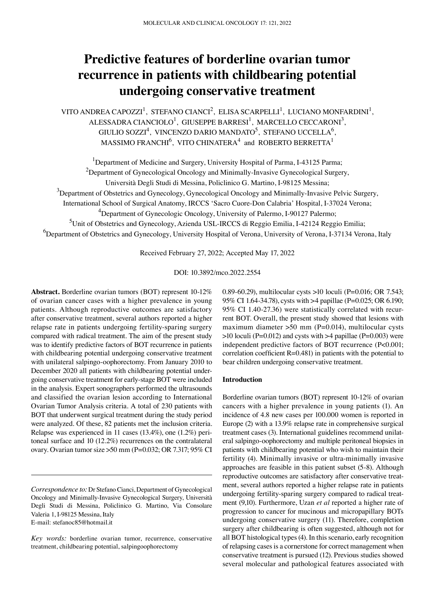# **Predictive features of borderline ovarian tumor recurrence in patients with childbearing potential undergoing conservative treatment**

VITO ANDREA CAPOZZI $^1$ , STEFANO CIANCI $^2$ , ELISA SCARPELLI $^1$ , LUCIANO MONFARDINI $^1$ ,  $\mathrm{ALESSADRA\,CIANCIOLO}^{1}, \ \mathrm{GUSEPPE\,BARRESI}^{1}, \ \mathrm{MARCELLO\,CECCARONI}^{3},$ GIULIO SOZZI $^4$ , VINCENZO DARIO MANDATO $^5$ , STEFANO UCCELLA $^6$ , MASSIMO FRANCHI $^6$ , VITO CHINATERA $^4$  and ROBERTO BERRETTA $^1$ 

<sup>1</sup>Department of Medicine and Surgery, University Hospital of Parma, I-43125 Parma;

<sup>2</sup>Department of Gynecological Oncology and Minimally-Invasive Gynecological Surgery,

Università Degli Studi di Messina, Policlinico G. Martino, I‑98125 Messina;

<sup>3</sup>Department of Obstetrics and Gynecology, Gynecological Oncology and Minimally-Invasive Pelvic Surgery,

International School of Surgical Anatomy, IRCCS ʻSacro Cuore‑Don Calabria' Hospital, I‑37024 Verona;

<sup>4</sup>Department of Gynecologic Oncology, University of Palermo, I-90127 Palermo;

<sup>5</sup>Unit of Obstetrics and Gynecology, Azienda USL-IRCCS di Reggio Emilia, I-42124 Reggio Emilia;

6 Department of Obstetrics and Gynecology, University Hospital of Verona, University of Verona, I‑37134 Verona, Italy

Received February 27, 2022; Accepted May 17, 2022

DOI: 10.3892/mco.2022.2554

**Abstract.** Borderline ovarian tumors (BOT) represent 10‑12% of ovarian cancer cases with a higher prevalence in young patients. Although reproductive outcomes are satisfactory after conservative treatment, several authors reported a higher relapse rate in patients undergoing fertility-sparing surgery compared with radical treatment. The aim of the present study was to identify predictive factors of BOT recurrence in patients with childbearing potential undergoing conservative treatment with unilateral salpingo‑oophorectomy. From January 2010 to December 2020 all patients with childbearing potential undergoing conservative treatment for early‑stage BOT were included in the analysis. Expert sonographers performed the ultrasounds and classified the ovarian lesion according to International Ovarian Tumor Analysis criteria. A total of 230 patients with BOT that underwent surgical treatment during the study period were analyzed. Of these, 82 patients met the inclusion criteria. Relapse was experienced in 11 cases (13.4%), one (1.2%) peritoneal surface and 10 (12.2%) recurrences on the contralateral ovary. Ovarian tumor size >50 mm (P=0.032; OR 7.317; 95% CI

*Correspondence to:* Dr Stefano Cianci, Department of Gynecological Oncology and Minimally‑Invasive Gynecological Surgery, Università Degli Studi di Messina, Policlinico G. Martino, Via Consolare Valeria 1, I‑98125 Messina, Italy E‑mail: stefanoc85@hotmail.it

*Key words:* borderline ovarian tumor, recurrence, conservative treatment, childbearing potential, salpingoophorectomy

0.89‑60.29), multilocular cysts >10 loculi (P=0.016; OR 7.543; 95% CI 1.64‑34.78), cysts with >4 papillae (P=0.025; OR 6.190; 95% CI 1.40-27.36) were statistically correlated with recurrent BOT. Overall, the present study showed that lesions with maximum diameter  $>50$  mm (P=0.014), multilocular cysts  $>10$  loculi (P=0.012) and cysts with  $>4$  papillae (P=0.003) were independent predictive factors of BOT recurrence (P<0.001; correlation coefficient R=0.481) in patients with the potential to bear children undergoing conservative treatment.

## **Introduction**

Borderline ovarian tumors (BOT) represent 10‑12% of ovarian cancers with a higher prevalence in young patients (1). An incidence of 4.8 new cases per 100.000 women is reported in Europe (2) with a 13.9% relapse rate in comprehensive surgical treatment cases (3). International guidelines recommend unilateral salpingo‑oophorectomy and multiple peritoneal biopsies in patients with childbearing potential who wish to maintain their fertility (4). Minimally invasive or ultra-minimally invasive approaches are feasible in this patient subset (5‑8). Although reproductive outcomes are satisfactory after conservative treatment, several authors reported a higher relapse rate in patients undergoing fertility-sparing surgery compared to radical treatment (9,10). Furthermore, Uzan *et al* reported a higher rate of progression to cancer for mucinous and micropapillary BOTs undergoing conservative surgery (11). Therefore, completion surgery after childbearing is often suggested, although not for all BOT histological types(4). In this scenario, early recognition of relapsing cases is a cornerstone for correct management when conservative treatment is pursued (12). Previous studies showed several molecular and pathological features associated with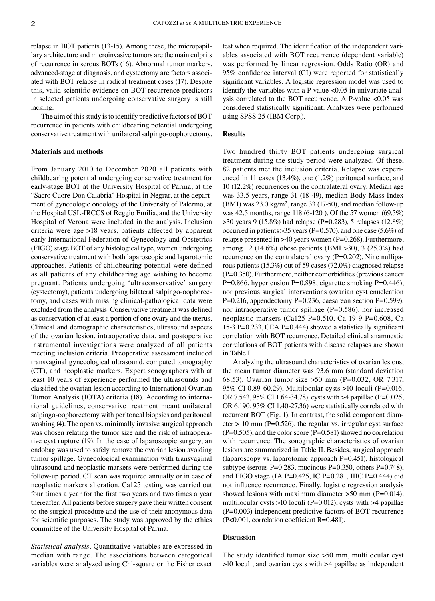relapse in BOT patients (13-15). Among these, the micropapillary architecture and microinvasive tumors are the main culprits of recurrence in serous BOTs (16). Abnormal tumor markers, advanced-stage at diagnosis, and cystectomy are factors associated with BOT relapse in radical treatment cases (17). Despite this, valid scientific evidence on BOT recurrence predictors in selected patients undergoing conservative surgery is still lacking.

The aim of this study is to identify predictive factors of BOT recurrence in patients with childbearing potential undergoing conservative treatment with unilateral salpingo‑oophorectomy.

#### **Materials and methods**

From January 2010 to December 2020 all patients with childbearing potential undergoing conservative treatment for early‑stage BOT at the University Hospital of Parma, at the "Sacro Cuore-Don Calabria" Hospital in Negrar, at the department of gynecologic oncology of the University of Palermo, at the Hospital USL‑IRCCS of Reggio Emilia, and the University Hospital of Verona were included in the analysis. Inclusion criteria were age >18 years, patients affected by apparent early International Federation of Gynecology and Obstetrics (FIGO) stage BOT of any histological type, women undergoing conservative treatment with both laparoscopic and laparotomic approaches. Patients of childbearing potential were defined as all patients of any childbearing age wishing to become pregnant. Patients undergoing 'ultraconservative' surgery (cystectomy), patients undergoing bilateral salpingo‑oophorec‑ tomy, and cases with missing clinical-pathological data were excluded from the analysis. Conservative treatment was defined as conservation of at least a portion of one ovary and the uterus. Clinical and demographic characteristics, ultrasound aspects of the ovarian lesion, intraoperative data, and postoperative instrumental investigations were analyzed of all patients meeting inclusion criteria. Preoperative assessment included transvaginal gynecological ultrasound, computed tomography (CT), and neoplastic markers. Expert sonographers with at least 10 years of experience performed the ultrasounds and classified the ovarian lesion according to International Ovarian Tumor Analysis (IOTA) criteria (18). According to international guidelines, conservative treatment meant unilateral salpingo‑oophorectomy with peritoneal biopsies and peritoneal washing (4). The open vs. minimally invasive surgical approach was chosen relating the tumor size and the risk of intraoperative cyst rupture (19). In the case of laparoscopic surgery, an endobag was used to safely remove the ovarian lesion avoiding tumor spillage. Gynecological examination with transvaginal ultrasound and neoplastic markers were performed during the follow‑up period. CT scan was required annually or in case of neoplastic markers alteration. Ca125 testing was carried out four times a year for the first two years and two times a year thereafter. All patients before surgery gave their written consent to the surgical procedure and the use of their anonymous data for scientific purposes. The study was approved by the ethics committee of the University Hospital of Parma.

*Statistical analysis.* Quantitative variables are expressed in median with range. The associations between categorical variables were analyzed using Chi‑square or the Fisher exact test when required. The identification of the independent variables associated with BOT recurrence (dependent variable) was performed by linear regression. Odds Ratio (OR) and 95% confidence interval (CI) were reported for statistically significant variables. A logistic regression model was used to identify the variables with a P-value  $< 0.05$  in univariate analysis correlated to the BOT recurrence. A P‑value <0.05 was considered statistically significant. Analyzes were performed using SPSS 25 (IBM Corp.).

#### **Results**

Two hundred thirty BOT patients undergoing surgical treatment during the study period were analyzed. Of these, 82 patients met the inclusion criteria. Relapse was experienced in 11 cases (13.4%), one (1.2%) peritoneal surface, and 10 (12.2%) recurrences on the contralateral ovary. Median age was 33.5 years, range 31 (18‑49), median Body Mass Index  $(BMI)$  was 23.0 kg/m<sup>2</sup>, range 33 (17-50), and median follow-up was 42.5 months, range 118 (6‑120 ). Of the 57 women (69.5%) >30 years 9 (15.8%) had relapse (P=0.283), 5 relapses (12.8%) occurred in patients  $>35$  years (P=0.570), and one case (5.6%) of relapse presented in  $>40$  years women (P=0.268). Furthermore, among 12 (14.6%) obese patients (BMI >30), 3 (25.0%) had recurrence on the contralateral ovary ( $P=0.202$ ). Nine nulliparous patients (15.3%) out of 59 cases (72.0%) diagnosed relapse (P=0.350). Furthermore, neither comorbidities (previous cancer P=0.866, hypertension P=0.898, cigarette smoking P=0.446), nor previous surgical interventions (ovarian cyst enucleation P=0.216, appendectomy P=0.236, caesarean section P=0.599), nor intraoperative tumor spillage (P=0.586), nor increased neoplastic markers (Ca125 P=0.510, Ca 19‑9 P=0.608, Ca 15‑3 P=0.233, CEA P=0.444) showed a statistically significant correlation with BOT recurrence. Detailed clinical anamnestic correlations of BOT patients with disease relapses are shown in Table I.

Analyzing the ultrasound characteristics of ovarian lesions, the mean tumor diameter was 93.6 mm (standard deviation 68.53). Ovarian tumor size >50 mm (P=0.032, OR 7.317, 95% CI 0.89‑60.29), Multilocular cysts >10 loculi (P=0.016, OR 7.543, 95% CI 1.64‑34.78), cysts with >4 papillae (P=0.025, OR 6.190, 95% CI 1.40‑27.36) were statistically correlated with recurrent BOT (Fig. 1). In contrast, the solid component diameter  $> 10$  mm (P=0.526), the regular vs. irregular cyst surface  $(P=0.505)$ , and the color score  $(P=0.581)$  showed no correlation with recurrence. The sonographic characteristics of ovarian lesions are summarized in Table II. Besides, surgical approach (laparoscopy vs. laparotomic approach P=0.451), histological subtype (serous P=0.283, mucinous P=0.350, others P=0.748), and FIGO stage (IA P=0.425, IC P=0.281, IIIC P=0.444) did not influence recurrence. Finally, logistic regression analysis showed lesions with maximum diameter  $>50$  mm (P=0.014), multilocular cysts >10 loculi ( $P=0.012$ ), cysts with >4 papillae (P=0.003) independent predictive factors of BOT recurrence (P<0.001, correlation coefficient R=0.481).

#### **Discussion**

The study identified tumor size >50 mm, multilocular cyst >10 loculi, and ovarian cysts with >4 papillae as independent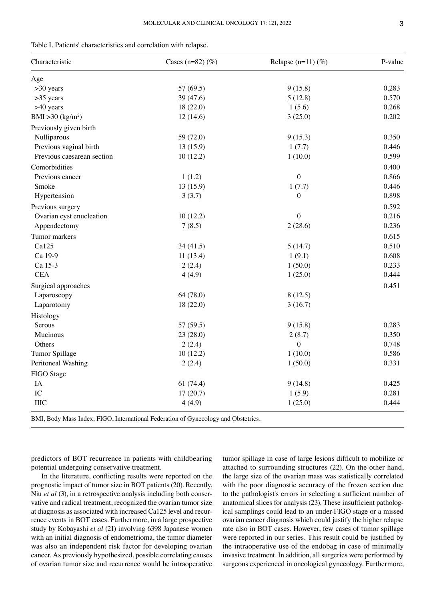|  |  |  |  | Table I. Patients' characteristics and correlation with relapse. |  |  |  |  |  |  |  |  |  |
|--|--|--|--|------------------------------------------------------------------|--|--|--|--|--|--|--|--|--|
|--|--|--|--|------------------------------------------------------------------|--|--|--|--|--|--|--|--|--|

| Characteristic             | Cases (n=82) $(\%)$ | Relapse $(n=11)$ $(\%)$ | P-value |
|----------------------------|---------------------|-------------------------|---------|
| Age                        |                     |                         |         |
| $>30$ years                | 57 (69.5)           | 9(15.8)                 | 0.283   |
| $>35$ years                | 39 (47.6)           | 5(12.8)                 | 0.570   |
| >40 years                  | 18 (22.0)           | 1(5.6)                  | 0.268   |
| BMI > 30 $(kg/m^2)$        | 12(14.6)            | 3(25.0)                 | 0.202   |
| Previously given birth     |                     |                         |         |
| Nulliparous                | 59 (72.0)           | 9(15.3)                 | 0.350   |
| Previous vaginal birth     | 13(15.9)            | 1(7.7)                  | 0.446   |
| Previous caesarean section | 10(12.2)            | 1(10.0)                 | 0.599   |
| Comorbidities              |                     |                         | 0.400   |
| Previous cancer            | 1(1.2)              | $\boldsymbol{0}$        | 0.866   |
| Smoke                      | 13(15.9)            | 1(7.7)                  | 0.446   |
| Hypertension               | 3(3.7)              | $\theta$                | 0.898   |
| Previous surgery           |                     |                         | 0.592   |
| Ovarian cyst enucleation   | 10(12.2)            | $\mathbf{0}$            | 0.216   |
| Appendectomy               | 7(8.5)              | 2(28.6)                 | 0.236   |
| Tumor markers              |                     |                         | 0.615   |
| Ca125                      | 34 (41.5)           | 5(14.7)                 | 0.510   |
| Ca 19-9                    | 11(13.4)            | 1(9.1)                  | 0.608   |
| Ca 15-3                    | 2(2.4)              | 1(50.0)                 | 0.233   |
| <b>CEA</b>                 | 4(4.9)              | 1(25.0)                 | 0.444   |
| Surgical approaches        |                     |                         | 0.451   |
| Laparoscopy                | 64 (78.0)           | 8(12.5)                 |         |
| Laparotomy                 | 18(22.0)            | 3(16.7)                 |         |
| Histology                  |                     |                         |         |
| Serous                     | 57 (59.5)           | 9(15.8)                 | 0.283   |
| Mucinous                   | 23(28.0)            | 2(8.7)                  | 0.350   |
| Others                     | 2(2.4)              | $\boldsymbol{0}$        | 0.748   |
| Tumor Spillage             | 10(12.2)            | 1(10.0)                 | 0.586   |
| Peritoneal Washing         | 2(2.4)              | 1(50.0)                 | 0.331   |
| FIGO Stage                 |                     |                         |         |
| IA                         | 61(74.4)            | 9(14.8)                 | 0.425   |
| IC                         | 17(20.7)            | 1(5.9)                  | 0.281   |
| <b>IIIC</b>                | 4(4.9)              | 1(25.0)                 | 0.444   |

BMI, Body Mass Index; FIGO, International Federation of Gynecology and Obstetrics.

predictors of BOT recurrence in patients with childbearing potential undergoing conservative treatment.

In the literature, conflicting results were reported on the prognostic impact of tumor size in BOT patients (20). Recently, Niu *et al* (3), in a retrospective analysis including both conservative and radical treatment, recognized the ovarian tumor size at diagnosis as associated with increased Ca125 level and recurrence events in BOT cases. Furthermore, in a large prospective study by Kobayashi *et al* (21) involving 6398 Japanese women with an initial diagnosis of endometrioma, the tumor diameter was also an independent risk factor for developing ovarian cancer. As previously hypothesized, possible correlating causes of ovarian tumor size and recurrence would be intraoperative tumor spillage in case of large lesions difficult to mobilize or attached to surrounding structures (22). On the other hand, the large size of the ovarian mass was statistically correlated with the poor diagnostic accuracy of the frozen section due to the pathologist's errors in selecting a sufficient number of anatomical slices for analysis (23). These insufficient pathological samplings could lead to an under-FIGO stage or a missed ovarian cancer diagnosis which could justify the higher relapse rate also in BOT cases. However, few cases of tumor spillage were reported in our series. This result could be justified by the intraoperative use of the endobag in case of minimally invasive treatment. In addition, all surgeries were performed by surgeons experienced in oncological gynecology. Furthermore,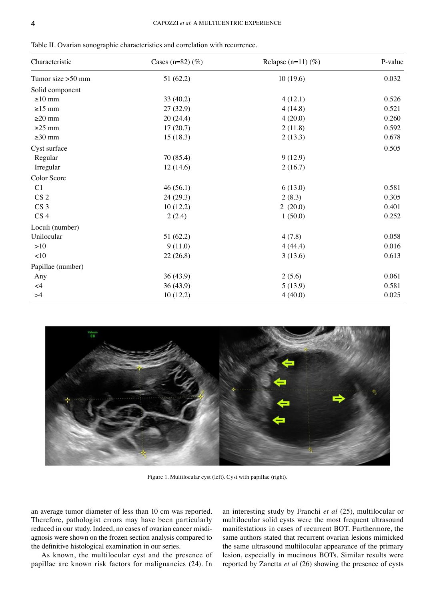|  |  | Table II. Ovarian sonographic characteristics and correlation with recurrence. |
|--|--|--------------------------------------------------------------------------------|
|--|--|--------------------------------------------------------------------------------|

| Characteristic     | Cases (n=82) $(\%)$ | Relapse $(n=11)$ $(\%)$ | P-value<br>0.032 |  |
|--------------------|---------------------|-------------------------|------------------|--|
| Tumor size > 50 mm | 51(62.2)            | 10(19.6)                |                  |  |
| Solid component    |                     |                         |                  |  |
| $\geq 10$ mm       | 33(40.2)            | 4(12.1)                 | 0.526            |  |
| $\geq$ 15 mm       | 27(32.9)            | 4(14.8)                 | 0.521            |  |
| $\geq$ 20 mm       | 20(24.4)            | 4(20.0)                 | 0.260            |  |
| $\geq$ 25 mm       | 17(20.7)            | 2(11.8)                 | 0.592            |  |
| $\geq 30$ mm       | 15(18.3)            | 2(13.3)                 | 0.678            |  |
| Cyst surface       |                     |                         | 0.505            |  |
| Regular            | 70 (85.4)           | 9(12.9)                 |                  |  |
| Irregular          | 12(14.6)            | 2(16.7)                 |                  |  |
| Color Score        |                     |                         |                  |  |
| C1                 | 46(56.1)            | 6(13.0)                 | 0.581            |  |
| CS <sub>2</sub>    | 24(29.3)            | 2(8.3)                  | 0.305            |  |
| CS <sub>3</sub>    | 10(12.2)            | 2(20.0)                 | 0.401            |  |
| $CS4$              | 2(2.4)              | 1(50.0)                 | 0.252            |  |
| Loculi (number)    |                     |                         |                  |  |
| Unilocular         | 51(62.2)            | 4(7.8)                  | 0.058            |  |
| >10                | 9(11.0)             | 4(44.4)                 | 0.016            |  |
| ${<}10$            | 22(26.8)            | 3(13.6)                 | 0.613            |  |
| Papillae (number)  |                     |                         |                  |  |
| Any                | 36(43.9)            | 2(5.6)                  | 0.061            |  |
| $<$ 4              | 36(43.9)            | 5(13.9)                 | 0.581            |  |
| >4                 | 10(12.2)            | 4(40.0)                 | 0.025            |  |



Figure 1. Multilocular cyst (left). Cyst with papillae (right).

an average tumor diameter of less than 10 cm was reported. Therefore, pathologist errors may have been particularly reduced in our study. Indeed, no cases of ovarian cancer misdiagnosis were shown on the frozen section analysis compared to the definitive histological examination in our series.

As known, the multilocular cyst and the presence of papillae are known risk factors for malignancies (24). In

an interesting study by Franchi *et al* (25), multilocular or multilocular solid cysts were the most frequent ultrasound manifestations in cases of recurrent BOT. Furthermore, the same authors stated that recurrent ovarian lesions mimicked the same ultrasound multilocular appearance of the primary lesion, especially in mucinous BOTs. Similar results were reported by Zanetta *et al* (26) showing the presence of cysts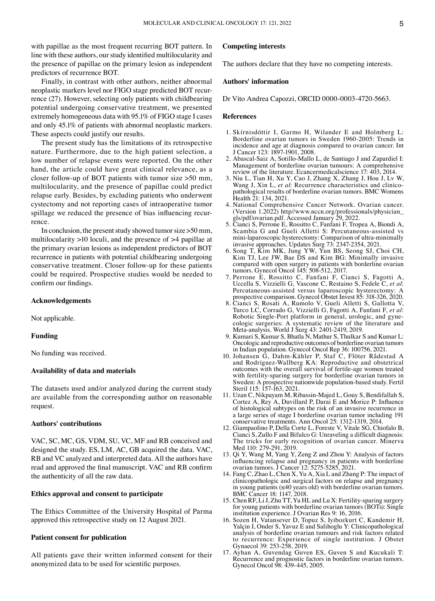with papillae as the most frequent recurring BOT pattern. In line with these authors, our study identified multilocularity and the presence of papillae on the primary lesion as independent predictors of recurrence BOT.

Finally, in contrast with other authors, neither abnormal neoplastic markers level nor FIGO stage predicted BOT recurrence (27). However, selecting only patients with childbearing potential undergoing conservative treatment, we presented extremely homogeneous data with 95.1% of FIGO stage I cases and only 45.1% of patients with abnormal neoplastic markers. These aspects could justify our results.

The present study has the limitations of its retrospective nature. Furthermore, due to the high patient selection, a low number of relapse events were reported. On the other hand, the article could have great clinical relevance, as a closer follow‑up of BOT patients with tumor size >50 mm, multilocularity, and the presence of papillae could predict relapse early. Besides, by excluding patients who underwent cystectomy and not reporting cases of intraoperative tumor spillage we reduced the presence of bias influencing recurrence.

In conclusion, the present study showed tumor size >50 mm, multilocularity >10 loculi, and the presence of >4 papillae at the primary ovarian lesions as independent predictors of BOT recurrence in patients with potential childbearing undergoing conservative treatment. Closer follow‑up for these patients could be required. Prospective studies would be needed to confirm our findings.

#### **Acknowledgements**

Not applicable.

#### **Funding**

No funding was received.

## **Availability of data and materials**

The datasets used and/or analyzed during the current study are available from the corresponding author on reasonable request.

## **Authors' contributions**

VAC, SC, MC, GS, VDM, SU, VC, MF and RB conceived and designed the study. ES, LM, AC, GB acquired the data. VAC, RB and VC analyzed and interpreted data. All the authors have read and approved the final manuscript. VAC and RB confirm the authenticity of all the raw data.

## **Ethics approval and consent to participate**

The Ethics Committee of the University Hospital of Parma approved this retrospective study on 12 August 2021.

## **Patient consent for publication**

All patients gave their written informed consent for their anonymized data to be used for scientific purposes.

# **Competing interests**

The authors declare that they have no competing interests.

#### **Authors' information**

Dr Vito Andrea Capozzi, ORCID 0000‑0003‑4720‑5663.

## **References**

- 1. Skírnisdóttir I, Garmo H, Wilander E and Holmberg L: Borderline ovarian tumors in Sweden 1960‑2005: Trends in incidence and age at diagnosis compared to ovarian cancer. Int J Cancer 123: 1897‑1901, 2008.
- 2. Abascal‑Saiz A, Sotillo‑Mallo L, de Santiago J and Zapardiel I: Management of borderline ovarian tumours: A comprehensive review of the literature. Ecancermedicalscience 17: 403, 2014.
- 3. Niu L, Tian H, Xu Y, Cao J, Zhang X, Zhang J, Hou J, Lv W, Wang J, Xin L, et al: Recurrence characteristics and clinicopathological results of borderline ovarian tumors. BMC Womens Health 21: 134, 2021.
- 4. National Comprehensive Cancer Network. Ovarian cancer. (Version 1.2022) http//www.nccn.org/professionals/physician\_ gls/pdf/ovarian.pdf. Accessed January 29, 2022.
- 5. Cianci S, Perrone E, Rossitto C, Fanfani F, Tropea A, Biondi A, Scambia G and Gueli Alletti S: Percutaneous-assisted vs mini-laparoscopic hysterectomy: Comparison of ultra-minimally invasive approaches. Updates Surg 73: 2347‑2354, 2021.
- 6. Song T, Kim MK, Jung YW, Yun BS, Seong SJ, Choi CH, Kim TJ, Lee JW, Bae DS and Kim BG: Minimally invasive compared with open surgery in patients with borderline ovarian tumors. Gynecol Oncol 145: 508‑512, 2017.
- 7. Perrone E, Rossitto C, Fanfani F, Cianci S, Fagotti A, Uccella S, Vizzielli G, Vascone C, Restaino S, Fedele C, *et al*: Percutaneous‑assisted versus laparoscopic hysterectomy: A prospective comparison. Gynecol Obstet Invest 85: 318‑326, 2020.
- 8. Cianci S, Rosati A, Rumolo V, Gueli Alletti S, Gallotta V, Turco LC, Corrado G, Vizzielli G, Fagotti A, Fanfani F, *et al*: Robotic Single-Port platform in general, urologic, and gynecologic surgeries: A systematic review of the literature and Meta‑analysis. World J Surg 43: 2401‑2419, 2019.
- 9. Kumari S, Kumar S, Bhatla N, Mathur S, Thulkar S and Kumar L: Oncologic and reproductive outcomes of borderline ovarian tumors in Indian population. Gynecol Oncol Rep 36: 100756, 2021.
- 10. Johansen G, Dahm‑Kähler P, Staf C, Flöter Rådestad A and Rodriguez‑Wallberg KA: Reproductive and obstetrical outcomes with the overall survival of fertile‑age women treated with fertility-sparing surgery for borderline ovarian tumors in Sweden: A prospective nationwide population-based study. Fertil Steril 115: 157-163, 2021.
- 11. Uzan C, Nikpayam M, Ribassin‑Majed L, Gouy S, Bendifallah S, Cortez A, Rey A, Duvillard P, Darai E and Morice P: Influence of histological subtypes on the risk of an invasive recurrence in a large series of stage I borderline ovarian tumor including 191 conservative treatments. Ann Oncol 25: 1312‑1319, 2014.
- 12. Giampaolino P, Della Corte L, Foreste V, Vitale SG, Chiofalo B, Cianci S, Zullo F and Bifulco G: Unraveling a difficult diagnosis: The tricks for early recognition of ovarian cancer. Minerva Med 110: 279-291, 2019.
- 13. Qi Y, Wang M, Yang Y, Zeng Z and Zhou Y: Analysis of factors influencing relapse and pregnancy in patients with borderline ovarian tumors. J Cancer 12: 5275‑5285, 2021.
- 14. Fang C, Zhao L, Chen X, Yu A, Xia L and Zhang P: The impact of clinicopathologic and surgical factors on relapse and pregnancy in young patients (≤40 years old) with borderline ovarian tumors. BMC Cancer 18: 1147, 2018.
- 15. Chen RF, Li J, Zhu TT, Yu HL and Lu X: Fertility-sparing surgery for young patients with borderline ovarian tumors (BOTs): Single institution experience. J Ovarian Res 9: 16, 2016.
- 16. Sozen H, Vatansever D, Topuz S, Iyibozkurt C, Kandemir H, Yalçin I, Onder S, Yavuz E and Salihoglu Y: Clinicopathological analysis of borderline ovarian tumours and risk factors related to recurrence: Experience of single institution. J Obstet Gynaecol 39: 253‑258, 2019.
- 17. Ayhan A, Guvendag Guven ES, Guven S and Kucukali T: Recurrence and prognostic factors in borderline ovarian tumors. Gynecol Oncol 98: 439-445, 2005.